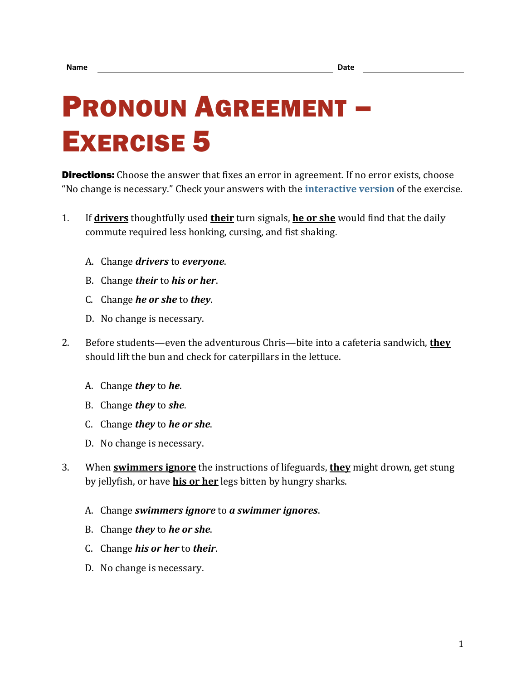## PRONOUN AGREEMENT – EXERCISE 5

**Directions:** Choose the answer that fixes an error in agreement. If no error exists, choose "No change is necessary." Check your answers with the **[interactive version](https://chompchomp.com/hotpotatoes/proagree05.htm)** of the exercise.

- 1. If **drivers** thoughtfully used **their** turn signals, **he or she** would find that the daily commute required less honking, cursing, and fist shaking.
	- A. Change *drivers* to *everyone*.
	- B. Change *their* to *his or her*.
	- C. Change *he or she* to *they*.
	- D. No change is necessary.
- 2. Before students—even the adventurous Chris—bite into a cafeteria sandwich, **they** should lift the bun and check for caterpillars in the lettuce.
	- A. Change *they* to *he*.
	- B. Change *they* to *she*.
	- C. Change *they* to *he or she*.
	- D. No change is necessary.
- 3. When **swimmers ignore** the instructions of lifeguards, **they** might drown, get stung by jellyfish, or have **his or her** legs bitten by hungry sharks.
	- A. Change *swimmers ignore* to *a swimmer ignores*.
	- B. Change *they* to *he or she*.
	- C. Change *his or her* to *their*.
	- D. No change is necessary.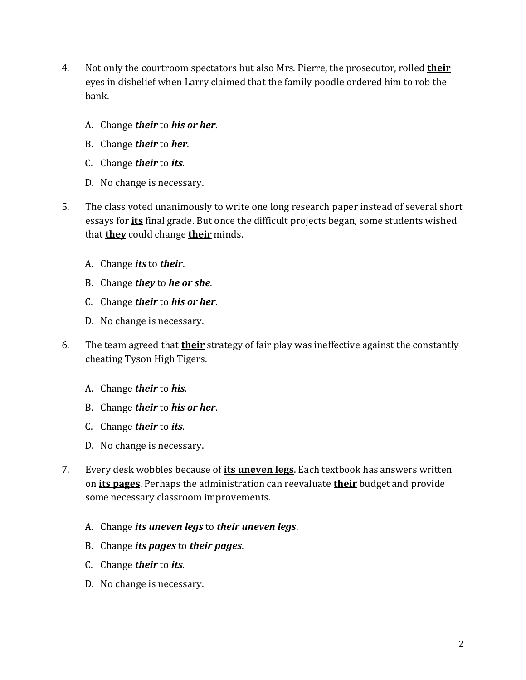- 4. Not only the courtroom spectators but also Mrs. Pierre, the prosecutor, rolled **their** eyes in disbelief when Larry claimed that the family poodle ordered him to rob the bank.
	- A. Change *their* to *his or her*.
	- B. Change *their* to *her*.
	- C. Change *their* to *its*.
	- D. No change is necessary.
- 5. The class voted unanimously to write one long research paper instead of several short essays for **its** final grade. But once the difficult projects began, some students wished that **they** could change **their** minds.
	- A. Change *its* to *their*.
	- B. Change *they* to *he or she*.
	- C. Change *their* to *his or her*.
	- D. No change is necessary.
- 6. The team agreed that **their** strategy of fair play was ineffective against the constantly cheating Tyson High Tigers.
	- A. Change *their* to *his*.
	- B. Change *their* to *his or her*.
	- C. Change *their* to *its*.
	- D. No change is necessary.
- 7. Every desk wobbles because of **its uneven legs**. Each textbook has answers written on **its pages**. Perhaps the administration can reevaluate **their** budget and provide some necessary classroom improvements.
	- A. Change *its uneven legs* to *their uneven legs*.
	- B. Change *its pages* to *their pages*.
	- C. Change *their* to *its*.
	- D. No change is necessary.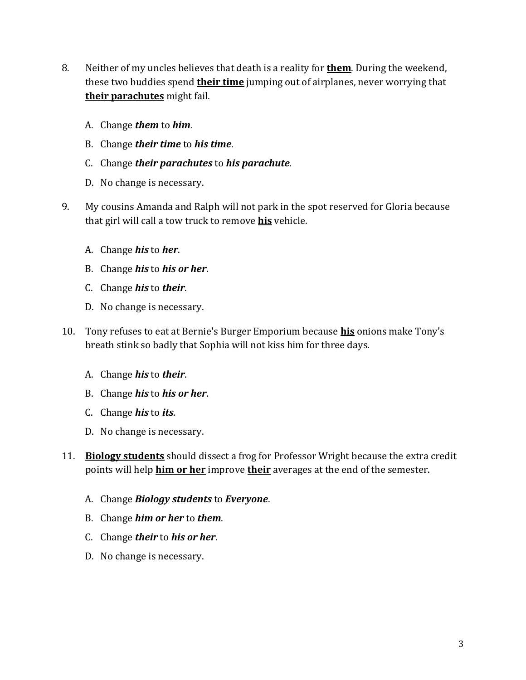- 8. Neither of my uncles believes that death is a reality for **them**. During the weekend, these two buddies spend **their time** jumping out of airplanes, never worrying that **their parachutes** might fail.
	- A. Change *them* to *him*.
	- B. Change *their time* to *his time*.
	- C. Change *their parachutes* to *his parachute*.
	- D. No change is necessary.
- 9. My cousins Amanda and Ralph will not park in the spot reserved for Gloria because that girl will call a tow truck to remove **his** vehicle.
	- A. Change *his* to *her*.
	- B. Change *his* to *his or her*.
	- C. Change *his* to *their*.
	- D. No change is necessary.
- 10. Tony refuses to eat at Bernie's Burger Emporium because **his** onions make Tony's breath stink so badly that Sophia will not kiss him for three days.
	- A. Change *his* to *their*.
	- B. Change *his* to *his or her*.
	- C. Change *his* to *its*.
	- D. No change is necessary.
- 11. **Biology students** should dissect a frog for Professor Wright because the extra credit points will help **him or her** improve **their** averages at the end of the semester.
	- A. Change *Biology students* to *Everyone*.
	- B. Change *him or her* to *them*.
	- C. Change *their* to *his or her*.
	- D. No change is necessary.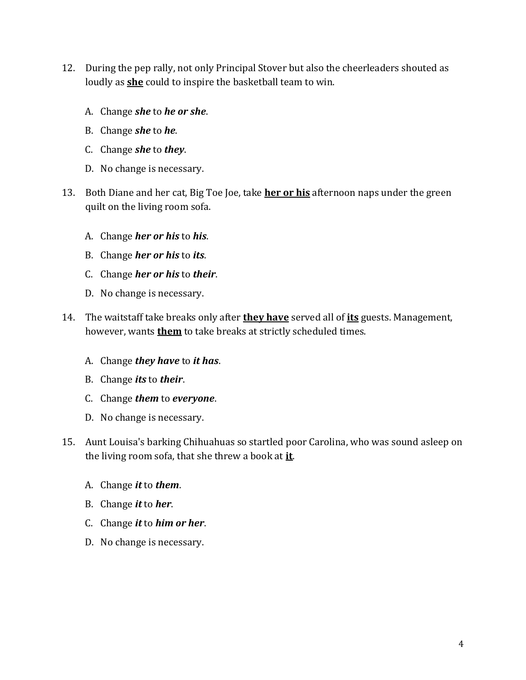- 12. During the pep rally, not only Principal Stover but also the cheerleaders shouted as loudly as **she** could to inspire the basketball team to win.
	- A. Change *she* to *he or she*.
	- B. Change *she* to *he*.
	- C. Change *she* to *they*.
	- D. No change is necessary.
- 13. Both Diane and her cat, Big Toe Joe, take **her or his** afternoon naps under the green quilt on the living room sofa.
	- A. Change *her or his* to *his*.
	- B. Change *her or his* to *its*.
	- C. Change *her or his* to *their*.
	- D. No change is necessary.
- 14. The waitstaff take breaks only after **they have** served all of **its** guests. Management, however, wants **them** to take breaks at strictly scheduled times.
	- A. Change *they have* to *it has*.
	- B. Change *its* to *their*.
	- C. Change *them* to *everyone*.
	- D. No change is necessary.
- 15. Aunt Louisa's barking Chihuahuas so startled poor Carolina, who was sound asleep on the living room sofa, that she threw a book at **it**.
	- A. Change *it* to *them*.
	- B. Change *it* to *her*.
	- C. Change *it* to *him or her*.
	- D. No change is necessary.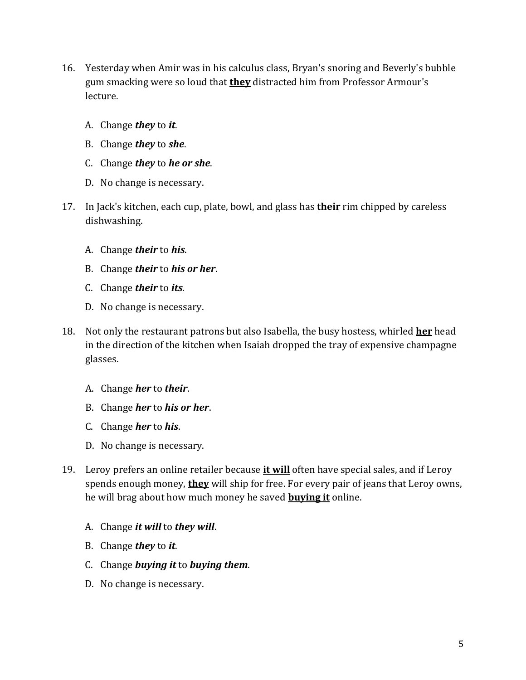- 16. Yesterday when Amir was in his calculus class, Bryan's snoring and Beverly's bubble gum smacking were so loud that **they** distracted him from Professor Armour's lecture.
	- A. Change *they* to *it*.
	- B. Change *they* to *she*.
	- C. Change *they* to *he or she*.
	- D. No change is necessary.
- 17. In Jack's kitchen, each cup, plate, bowl, and glass has **their** rim chipped by careless dishwashing.
	- A. Change *their* to *his*.
	- B. Change *their* to *his or her*.
	- C. Change *their* to *its*.
	- D. No change is necessary.
- 18. Not only the restaurant patrons but also Isabella, the busy hostess, whirled **her** head in the direction of the kitchen when Isaiah dropped the tray of expensive champagne glasses.
	- A. Change *her* to *their*.
	- B. Change *her* to *his or her*.
	- C. Change *her* to *his*.
	- D. No change is necessary.
- 19. Leroy prefers an online retailer because **it will** often have special sales, and if Leroy spends enough money, **they** will ship for free. For every pair of jeans that Leroy owns, he will brag about how much money he saved **buying it** online.
	- A. Change *it will* to *they will*.
	- B. Change *they* to *it*.
	- C. Change *buying it* to *buying them*.
	- D. No change is necessary.